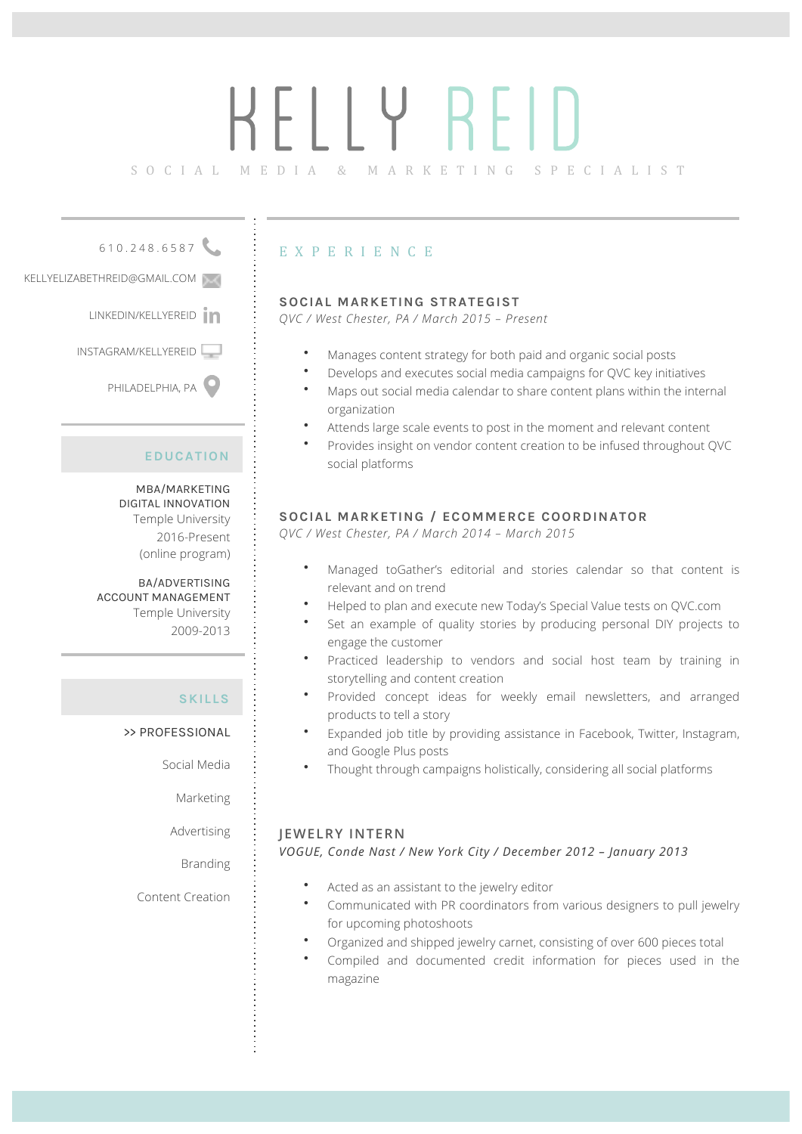# KELLY REID

SOCIAL MEDIA & MARKETING SPECIALIST

610.248.6587

KELLYELIZABETHREID@GMAIL.COM

LINKEDIN/KELLYEREID<sup>in</sup>

INSTAGRAM/KELLYEREID

PHILADELPHIA, PA

#### **EDUCATION**

MBA/MARKETING DIGITAL INNOVATION Temple University 2016-Present (online program)

BA/ADVERTISING ACCOUNT MANAGEMENT Temple University 2009-2013

#### **SKILLS**

>> PROFESSIONAL

Social Media

Marketing

Advertising

Branding

Content Creation

## EXPERIENCE

#### **SOCIAL MARKETING STRATEGIST**

*QVC / West Chester, PA / March 2015 – Present* 

- Manages content strategy for both paid and organic social posts
- Develops and executes social media campaigns for QVC key initiatives
- Maps out social media calendar to share content plans within the internal organization
- Attends large scale events to post in the moment and relevant content
- Provides insight on vendor content creation to be infused throughout QVC social platforms

#### **SOCIAL MARKETING / ECOMMERCE COORDINATOR**

*QVC / West Chester, PA / March 2014 – March 2015*

- Managed toGather's editorial and stories calendar so that content is relevant and on trend
- Helped to plan and execute new Today's Special Value tests on QVC.com
- Set an example of quality stories by producing personal DIY projects to engage the customer
- Practiced leadership to vendors and social host team by training in storytelling and content creation
- Provided concept ideas for weekly email newsletters, and arranged products to tell a story
- Expanded job title by providing assistance in Facebook, Twitter, Instagram, and Google Plus posts
- Thought through campaigns holistically, considering all social platforms

#### **JEWELRY INTERN**

*VOGUE, Conde Nast / New York City / December 2012 – January 2013*

- Acted as an assistant to the jewelry editor
- Communicated with PR coordinators from various designers to pull jewelry for upcoming photoshoots
- Organized and shipped jewelry carnet, consisting of over 600 pieces total
- Compiled and documented credit information for pieces used in the magazine